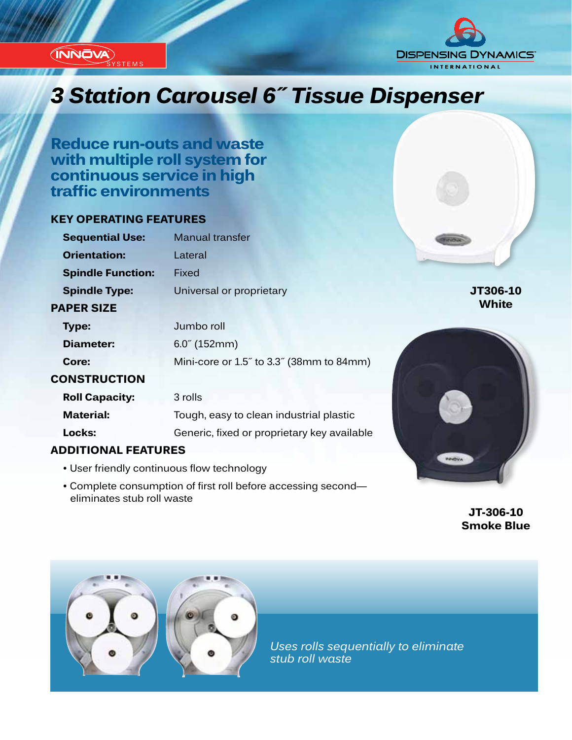

**STEMS** 



# *Innovation...Design...Solutions 3 Station Carousel 6˝ Tissue Dispenser*

**Reduce run-outs and waste with multiple roll system for continuous service in high traffic environments**

## **KEY OPERATING FEATURES**

| <b>Sequential Use:</b>     | <b>Manual transfer</b>                      |              |
|----------------------------|---------------------------------------------|--------------|
| <b>Orientation:</b>        | Lateral                                     |              |
| <b>Spindle Function:</b>   | Fixed                                       |              |
| <b>Spindle Type:</b>       | Universal or proprietary                    | JT306-10     |
| <b>PAPER SIZE</b>          |                                             | <b>White</b> |
| Type:                      | Jumbo roll                                  |              |
| <b>Diameter:</b>           | $6.0^{\circ}$ (152mm)                       |              |
| Core:                      | Mini-core or 1.5" to 3.3" (38mm to 84mm)    |              |
| <b>CONSTRUCTION</b>        |                                             |              |
| <b>Roll Capacity:</b>      | 3 rolls                                     |              |
| <b>Material:</b>           | Tough, easy to clean industrial plastic     |              |
| Locks:                     | Generic, fixed or proprietary key available |              |
| <b>ADDITIONAL FEATURES</b> |                                             |              |

- User friendly continuous flow technology
- Complete consumption of first roll before accessing second eliminates stub roll waste

**JT-306-10 Smoke Blue**

PRIOVA



*Uses rolls sequentially to eliminate stub roll waste*